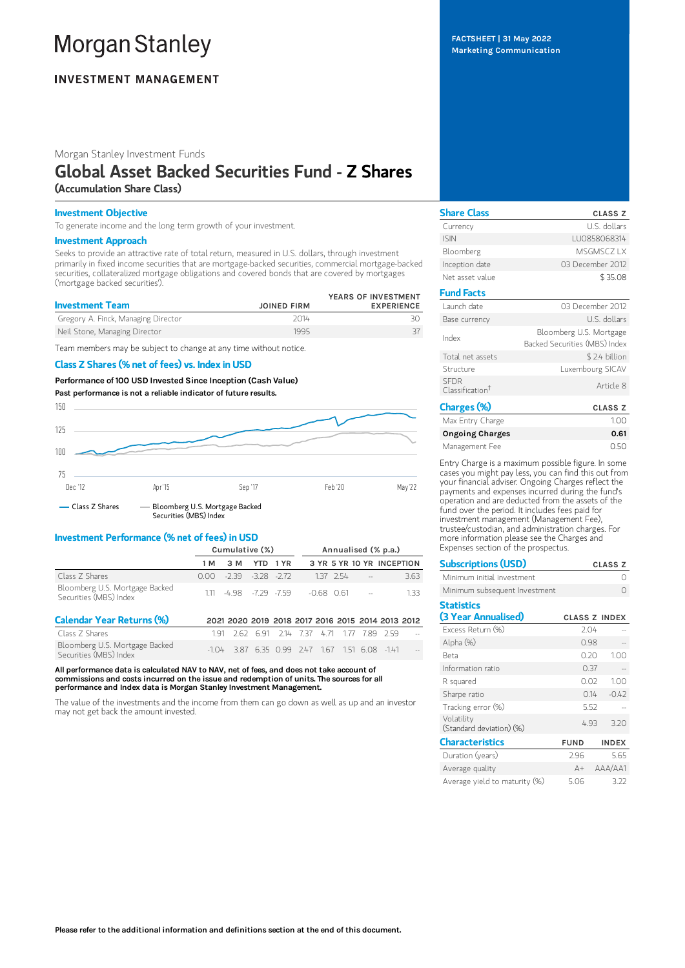# **Morgan Stanley**

# **INVESTMENT MANAGEMENT**

Morgan Stanley Investment Funds

## Global Asset Backed Securities Fund - Z Shares (Accumulation Share Class)

## Investment Objective

To generate income and the long term growth of your investment.

## Investment Approach

Seeks to provide an attractive rate of total return, measured in U.S. dollars, through investment primarily in fixed income securities that are mortgage-backed securities, commercial mortgage-backed securities, collateralized mortgage obligations and covered bonds that are covered by mortgages ('mortgage backed securities').

| <b>Investment Team</b>              | <b>JOINED FIRM</b> | YEARS OF INVESTMENT<br><b>EXPERIENCE</b> |
|-------------------------------------|--------------------|------------------------------------------|
| Gregory A. Finck, Managing Director | 2014               |                                          |
| Neil Stone, Managing Director       | 1995               |                                          |

Team members may be subject to change at any time without notice.

## Class Z Shares (% net of fees) vs. Index in USD

Performance of 100 USD Invested Since Inception (Cash Value) Past performance is not a reliable indicator of future results.



## Investment Performance (% net of fees) in USD

|                                                          | Cumulative (%) |                          |  |  | Annualised (% p.a.)                      |  |            |                           |
|----------------------------------------------------------|----------------|--------------------------|--|--|------------------------------------------|--|------------|---------------------------|
|                                                          | 1 M            | 3 M YTD 1 YR             |  |  |                                          |  |            | 3 YR 5 YR 10 YR INCEPTION |
| Class Z Shares                                           |                | $0.00 - 239 - 328 - 272$ |  |  |                                          |  | 137 254 -- | 3.63                      |
| Bloomberg U.S. Mortgage Backed<br>Securities (MBS) Index |                |                          |  |  | $111 - 4.98 - 7.79 - 7.59 - 0.68$ 0.61 - |  |            | 133                       |

| <b>Calendar Year Returns (%)</b>                         | 2021 2020 2019 2018 2017 2016 2015 2014 2013 2012 |  |  |  |  |
|----------------------------------------------------------|---------------------------------------------------|--|--|--|--|
| Class 7 Shares                                           | 191 262 691 214 737 471 177 789 259               |  |  |  |  |
| Bloomberg U.S. Mortgage Backed<br>Securities (MBS) Index | $-1.04$ 3.87 6.35 0.99 2.47 1.67 1.51 6.08 -1.41  |  |  |  |  |

All performance data is calculated NAV to NAV, net of fees, and does not take account of commissions and costs incurred on the issue and redemption of units. The sources for all performance and Index data is Morgan Stanley Investment Management.

The value of the investments and the income from them can go down as well as up and an investor may not get back the amount invested.

FACTSHEET | 31 May 2022 Marketing Communication

| <b>Share Class</b>                         | <b>CLASS Z</b>                                           |
|--------------------------------------------|----------------------------------------------------------|
| Currency                                   | U.S. dollars                                             |
| <b>ISIN</b>                                | LU0858068314                                             |
| Bloomberg                                  | MSGMSCZ I X                                              |
| Inception date                             | 03 December 2012                                         |
| Net asset value                            | \$35.08                                                  |
| <b>Fund Facts</b>                          |                                                          |
| Launch date                                | 03 December 2012                                         |
| Base currency                              | U.S. dollars                                             |
| Index                                      | Bloomberg U.S. Mortgage<br>Backed Securities (MBS) Index |
| Total net assets                           | \$2.4 billion                                            |
| Structure                                  | Luxembourg SICAV                                         |
| <b>SFDR</b><br>Classification <sup>†</sup> | Article 8                                                |
| Charges (%)                                | <b>CLASS Z</b>                                           |
| Max Entry Charge                           | 1.00                                                     |

| Max Entry Charge | 100  |
|------------------|------|
| Ongoing Charges  | 0.61 |
| Management Fee   | 0.50 |

Entry Charge is a maximum possible figure. In some cases you might pay less, you can find this out from your financial adviser. Ongoing Charges reflect the payments and expenses incurred during the fund's operation and are deducted from the assets of the fund over the period. It includes fees paid for investment management (Management Fee), trustee/custodian, and administration charges. For more information please see the Charges and Expenses section of the prospectus.

| <b>Subscriptions (USD)</b>               |                      |      | <b>CLASS Z</b> |
|------------------------------------------|----------------------|------|----------------|
| Minimum initial investment               |                      |      | Ω              |
| Minimum subsequent Investment            |                      |      | O              |
| <b>Statistics</b><br>(3 Year Annualised) | <b>CLASS Z INDEX</b> |      |                |
| Excess Return (%)                        | 2.04                 |      |                |
| Alpha (%)                                | 0.98                 |      |                |
| <b>Beta</b>                              | 0.20                 |      | 1.00           |
| Information ratio                        | 0.37                 |      |                |
| R squared                                | 0.02                 |      | 1.00           |
| Sharpe ratio                             |                      | 0.14 | $-0.42$        |
| Tracking error (%)                       | 5.52                 |      |                |
| Volatility<br>(Standard deviation) (%)   | 4.93                 |      | 3.20           |
| <b>Characteristics</b>                   | <b>FUND</b>          |      | <b>INDEX</b>   |
| Duration (years)                         | 2.96                 |      | 5.65           |
| Average quality                          | $A+$                 |      | AAA/AA1        |
| Average vield to maturity (%)            | 5.06                 |      | 3.22           |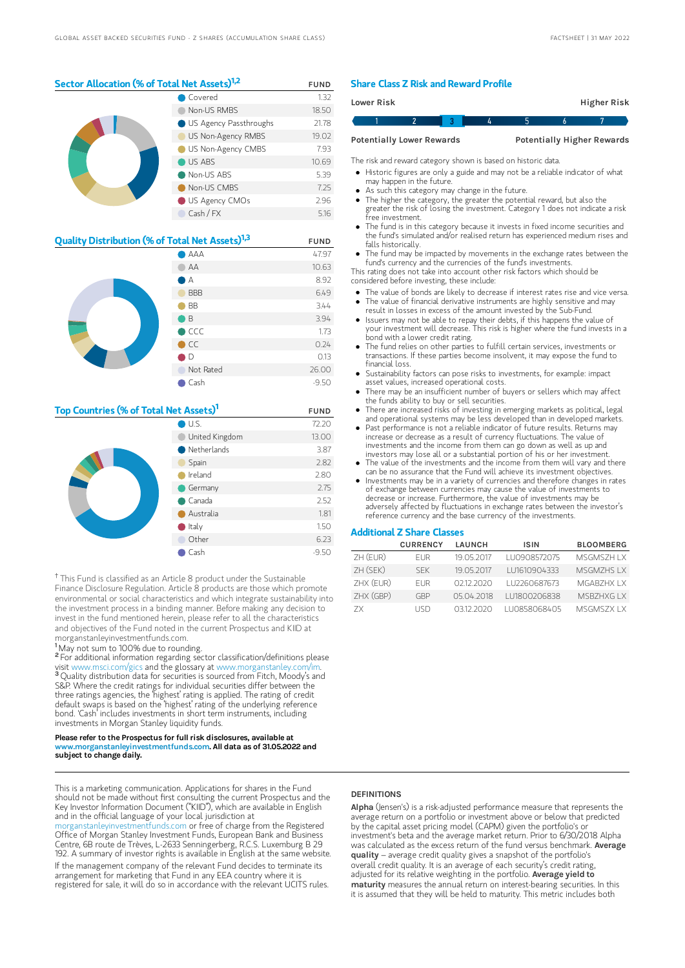## Sector Allocation (% of Total Net Assets)<sup>1,2</sup> FUND Covered 1.32

|  | Non-US RMBS                     | 18.50 |
|--|---------------------------------|-------|
|  | <b>O</b> US Agency Passthroughs | 21.78 |
|  | US Non-Agency RMBS              | 19.02 |
|  | US Non-Agency CMBS              | 7.93  |
|  | US ABS                          | 10.69 |
|  | Non-US ABS                      | 5.39  |
|  | Non-US CMBS                     | 7.25  |
|  | US Agency CMOs                  | 2.96  |
|  | Cash / FX                       | 5.16  |

| Quality Distribution (% of Total Net Assets) <sup>1,3</sup> | <b>FUND</b>   |         |
|-------------------------------------------------------------|---------------|---------|
|                                                             | AAA           | 47.97   |
|                                                             | AA            | 10.63   |
|                                                             | А             | 8.92    |
|                                                             | <b>BBB</b>    | 6.49    |
|                                                             | <b>BB</b>     | 3.44    |
|                                                             | B             | 3.94    |
|                                                             | CCC           | 1.73    |
|                                                             | $\bigcirc$ CC | 0.24    |
|                                                             | D             | 0.13    |
|                                                             | Not Rated     | 26.00   |
|                                                             | Cash          | $-9.50$ |

## Top Countries (% of Total Net Assets)<sup>1</sup> FUND

|  | $\bigcirc$ U.S.       | 72.20   |
|--|-----------------------|---------|
|  | United Kingdom        | 13.00   |
|  | $\bullet$ Netherlands | 3.87    |
|  | Spain                 | 2.82    |
|  | Ireland               | 2.80    |
|  | Germany               | 2.75    |
|  | $\bullet$ Canada      | 2.52    |
|  | Australia             | 1.81    |
|  | $\bullet$ Italy       | 1.50    |
|  | Other                 | 6.23    |
|  | Cash                  | $-9.50$ |

<sup>†</sup> This Fund is classified as an Article 8 product under the Sustainable Finance Disclosure Regulation. Article 8 products are those which promote environmental or social characteristics and which integrate sustainability into the investment process in a binding manner. Before making any decision to invest in the fund mentioned herein, please refer to all the characteristics and objectives of the Fund noted in the current Prospectus and KIID at morganstanleyinvestmentfunds.com.

<sup>1</sup>May not sum to 100% due to rounding.

<sup>2</sup> For additional information regarding sector classification/definitions please visit www.msci.com/gics and the glossary at www.morganstanley.com/im. <sup>3</sup> Quality distribution data for securities is sourced from Fitch, Moody's and S&P. Where the credit ratings for individual securities differ between the three ratings agencies, the 'highest' rating is applied. The rating of credit default swaps is based on the 'highest' rating of the underlying reference bond. 'Cash' includes investments in short term instruments, including investments in Morgan Stanley liquidity funds.

#### Please refer to the Prospectus for full risk disclosures, available at www.morganstanleyinvestmentfunds.com. All data as of 31.05.2022 and subject to change daily.

This is a marketing communication. Applications for shares in the Fund should not be made without first consulting the current Prospectus and the Key Investor Information Document ("KIID"), which are available in English and in the official language of your local jurisdiction at

leyinvestmentfunds.com or free of charge from the Registered Office of Morgan Stanley Investment Funds, European Bank and Business Centre, 6B route de Trèves, L-2633 Senningerberg, R.C.S. Luxemburg B 29 192. A summary of investor rights is available in English at the same website. If the management company of the relevant Fund decides to terminate its arrangement for marketing that Fund in any EEA country where it is registered for sale, it will do so in accordance with the relevant UCITS rules.

## Share Class Z Risk and Reward Profile

| Lower Risk                       |  |   |   | Higher Risk                       |
|----------------------------------|--|---|---|-----------------------------------|
|                                  |  | Д | h |                                   |
| <b>Potentially Lower Rewards</b> |  |   |   | <b>Potentially Higher Rewards</b> |

The risk and reward category shown is based on historic data.

- Historic figures are only a guide and may not be a reliable indicator of what may happen in the future.
- As such this category may change in the future.
- The higher the category, the greater the potential reward, but also the greater the risk of losing the investment. Category 1 does not indicate a risk free investment.
- The fund is in this category because it invests in fixed income securities and the fund's simulated and/or realised return has experienced medium rises and falls historically.
- The fund may be impacted by movements in the exchange rates between the fund's currency and the currencies of the fund's investments.

This rating does not take into account other risk factors which should be considered before investing, these include:

- The value of bonds are likely to decrease if interest rates rise and vice versa. The value of financial derivative instruments are highly sensitive and may
- result in losses in excess of the amount invested by the Sub-Fund. Issuers may not be able to repay their debts, if this happens the value of
- your investment will decrease. This risk is higher where the fund invests in a bond with a lower credit rating.
- The fund relies on other parties to fulfill certain services, investments or transactions. If these parties become insolvent, it may expose the fund to financial loss.
- Sustainability factors can pose risks to investments, for example: impact asset values, increased operational costs.
- There may be an insufficient number of buyers or sellers which may affect the funds ability to buy or sell securities.
- There are increased risks of investing in emerging markets as political, legal and operational systems may be less developed than in developed markets.
- Past performance is not a reliable indicator of future results. Returns may increase or decrease as a result of currency fluctuations. The value of investments and the income from them can go down as well as up and investors may lose all or a substantial portion of his or her investment.
- The value of the investments and the income from them will vary and there can be no assurance that the Fund will achieve its investment objectives.
- Investments may be in a variety of currencies and therefore changes in rates of exchange between currencies may cause the value of investments to decrease or increase. Furthermore, the value of investments may be adversely affected by fluctuations in exchange rates between the investor's reference currency and the base currency of the investments.

## Additional Z Share Classes

|           | <b>CURRENCY</b> | <b>LAUNCH</b> | <b>ISIN</b>  | <b>BLOOMBERG</b> |
|-----------|-----------------|---------------|--------------|------------------|
| ZH (EUR)  | <b>FUR</b>      | 19 05 2017    | LU0908572075 | MSGMS7H I X      |
| ZH (SEK)  | <b>SFK</b>      | 19.05.2017    | LU1610904333 | MSGM7HS I X      |
| ZHX (EUR) | FI IR           | 02122020      | LU2260687673 | MGARZHX I X      |
| ZHX (GBP) | GRP             | 05.04.2018    | LU1800206838 | MSBZHXG I X      |
| 7X        | I ISD.          | 03122020      | LU0858068405 | MSGMSZX LX       |

## **DEFINITIONS**

Alpha (Jensen's) is a risk-adjusted performance measure that represents the average return on a portfolio or investment above or below that predicted by the capital asset pricing model (CAPM) given the portfolio's or investment's beta and the average market return. Prior to 6/30/2018 Alpha was calculated as the excess return of the fund versus benchmark. Average quality – average credit quality gives a snapshot of the portfolio's overall credit quality. It is an average of each security's credit rating, adjusted for its relative weighting in the portfolio. Average yield to maturity measures the annual return on interest-bearing securities. In this it is assumed that they will be held to maturity. This metric includes both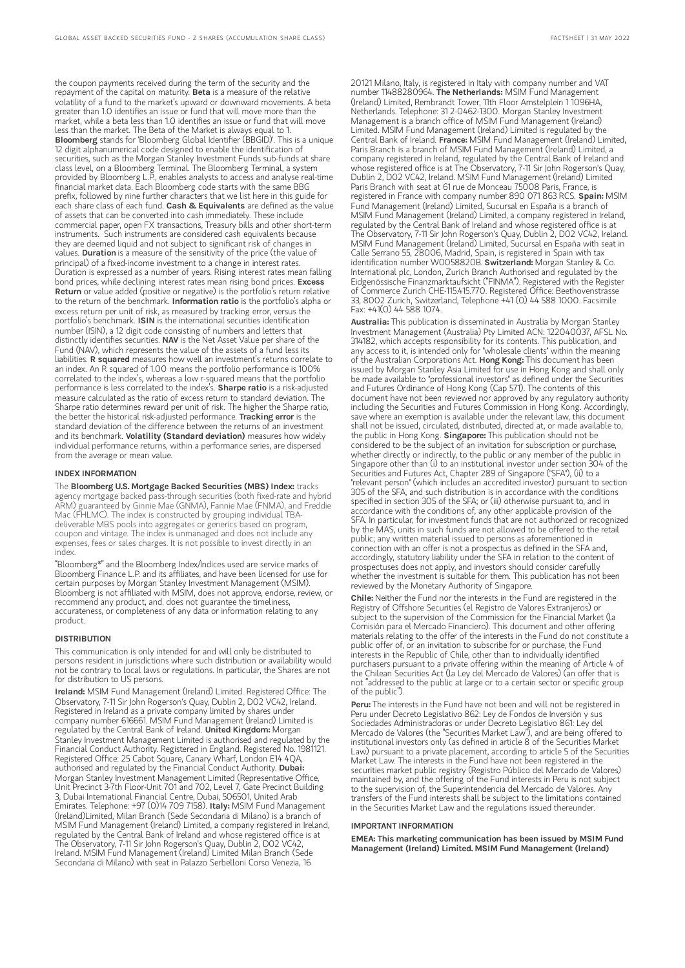the coupon payments received during the term of the security and the repayment of the capital on maturity. Beta is a measure of the relative volatility of a fund to the market's upward or downward movements. A beta greater than 1.0 identifies an issue or fund that will move more than the market, while a beta less than 1.0 identifies an issue or fund that will move less than the market. The Beta of the Market is always equal to 1.<br>**Bloomberg** stands for 'Bloomberg Global Identifier (BBGID)'. This is a unique 12 digit alphanumerical code designed to enable the identification of securities, such as the Morgan Stanley Investment Funds sub-funds at share class level, on a Bloomberg Terminal. The Bloomberg Terminal, a system provided by Bloomberg L.P., enables analysts to access and analyse real-time financial market data. Each Bloomberg code starts with the same BBG prefix, followed by nine further characters that we list here in this guide for each share class of each fund. Cash & Equivalents are defined as the value of assets that can be converted into cash immediately. These include commercial paper, open FX transactions, Treasury bills and other short-term instruments. Such instruments are considered cash equivalents because they are deemed liquid and not subject to significant risk of changes in values. Duration is a measure of the sensitivity of the price (the value of principal) of a fixed-income investment to a change in interest rates. Duration is expressed as a number of years. Rising interest rates mean falling bond prices, while declining interest rates mean rising bond prices. Excess Return or value added (positive or negative) is the portfolio's return relative to the return of the benchmark. **Information ratio** is the portfolio's alpha or excess return per unit of risk, as measured by tracking error, versus the portfolio's benchmark. ISIN is the international securities identification number (ISIN), a 12 digit code consisting of numbers and letters that distinctly identifies securities. NAV is the Net Asset Value per share of the Fund (NAV), which represents the value of the assets of a fund less its<br>liabilities. **R squared** measures how well an investment's returns correlate to an index. An R squared of 1.00 means the portfolio performance is 100% correlated to the index's, whereas a low r-squared means that the portfolio performance is less correlated to the index's. Sharpe ratio is a risk-adjusted measure calculated as the ratio of excess return to standard deviation. The Sharpe ratio determines reward per unit of risk. The higher the Sharpe ratio, the better the historical risk-adjusted performance. Tracking error is the standard deviation of the difference between the returns of an investment and its benchmark. Volatility (Standard deviation) measures how widely individual performance returns, within a performance series, are dispersed from the average or mean value.

#### INDEX INFORMATION

The Bloomberg U.S. Mortgage Backed Securities (MBS) Index: tracks agency mortgage backed pass-through securities (both fixed-rate and hybrid ARM) guaranteed by Ginnie Mae (GNMA), Fannie Mae (FNMA), and Freddie Mac (FHLMC). The index is constructed by grouping individual TBAdeliverable MBS pools into aggregates or generics based on program, coupon and vintage. The index is unmanaged and does not include any expenses, fees or sales charges. It is not possible to invest directly in an index.

"Bloomberg®" and the Bloomberg Index/Indices used are service marks of Bloomberg Finance L.P. and its affiliates, and have been licensed for use for certain purposes by Morgan Stanley Investment Management (MSIM). Bloomberg is not affiliated with MSIM, does not approve, endorse, review, or recommend any product, and. does not guarantee the timeliness, accurateness, or completeness of any data or information relating to any product.

#### DISTRIBUTION

This communication is only intended for and will only be distributed to persons resident in jurisdictions where such distribution or availability would not be contrary to local laws or regulations. In particular, the Shares are not for distribution to US persons.

Ireland: MSIM Fund Management (Ireland) Limited. Registered Office: The Observatory, 7-11 Sir John Rogerson's Quay, Dublin 2, D02 VC42, Ireland. Registered in Ireland as a private company limited by shares under company number 616661. MSIM Fund Management (Ireland) Limited is<br>regulated by the Central Bank of Ireland. **United Kingdom:** Morgan Stanley Investment Management Limited is authorised and regulated by the Financial Conduct Authority. Registered in England. Registered No. 1981121. Registered Office: 25 Cabot Square, Canary Wharf, London E14 4QA,<br>authorised and regulated by the Financial Conduct Authority. **Dubai:** Morgan Stanley Investment Management Limited (Representative Office, Unit Precinct 3-7th Floor-Unit 701 and 702, Level 7, Gate Precinct Building 3, Dubai International Financial Centre, Dubai, 506501, United Arab Emirates. Telephone: +97 (0)14 709 7158). Italy: MSIM Fund Management (Ireland)Limited, Milan Branch (Sede Secondaria di Milano) is a branch of MSIM Fund Management (Ireland) Limited, a company registered in Ireland, regulated by the Central Bank of Ireland and whose registered office is at The Observatory, 7-11 Sir John Rogerson's Quay, Dublin 2, D02 VC42, Ireland. MSIM Fund Management (Ireland) Limited Milan Branch (Sede Secondaria di Milano) with seat in Palazzo Serbelloni Corso Venezia, 16

20121 Milano, Italy, is registered in Italy with company number and VAT number 11488280964. The Netherlands: MSIM Fund Management (Ireland) Limited, Rembrandt Tower, 11th Floor Amstelplein 1 1096HA, Netherlands. Telephone: 31 2-0462-1300. Morgan Stanley Investment Management is a branch office of MSIM Fund Management (Ireland) Limited. MSIM Fund Management (Ireland) Limited is regulated by the<br>Central Bank of Ireland. **France:** MSIM Fund Management (Ireland) Limited, Paris Branch is a branch of MSIM Fund Management (Ireland) Limited, a company registered in Ireland, regulated by the Central Bank of Ireland and whose registered office is at The Observatory, 7-11 Sir John Rogerson's Quay, Dublin 2, D02 VC42, Ireland. MSIM Fund Management (Ireland) Limited Paris Branch with seat at 61 rue de Monceau 75008 Paris, France, is registered in France with company number 890 071 863 RCS. Spain: MSIM Fund Management (Ireland) Limited, Sucursal en España is a branch of MSIM Fund Management (Ireland) Limited, a company registered in Ireland, regulated by the Central Bank of Ireland and whose registered office is at The Observatory, 7-11 Sir John Rogerson's Quay, Dublin 2, D02 VC42, Ireland. MSIM Fund Management (Ireland) Limited, Sucursal en España with seat in Calle Serrano 55, 28006, Madrid, Spain, is registered in Spain with tax<br>identification number W0058820B. **SwitzerIand:** Morgan Stanley & Co. International plc, London, Zurich Branch Authorised and regulated by the Eidgenössische Finanzmarktaufsicht ("FINMA"). Registered with the Register of Commerce Zurich CHE-115.415.770. Registered Office: Beethovenstrasse 33, 8002 Zurich, Switzerland, Telephone +41 (0) 44 588 1000. Facsimile Fax: +41(0) 44 588 1074.

Australia: This publication is disseminated in Australia by Morgan Stanley Investment Management (Australia) Pty Limited ACN: 122040037, AFSL No. 314182, which accepts responsibility for its contents. This publication, and any access to it, is intended only for "wholesale clients" within the meaning of the Australian Corporations Act. Hong Kong: This document has been issued by Morgan Stanley Asia Limited for use in Hong Kong and shall only be made available to "professional investors" as defined under the Securities and Futures Ordinance of Hong Kong (Cap 571). The contents of this document have not been reviewed nor approved by any regulatory authority including the Securities and Futures Commission in Hong Kong. Accordingly, save where an exemption is available under the relevant law, this document shall not be issued, circulated, distributed, directed at, or made available to, the public in Hong Kong. Singapore: This publication should not be considered to be the subject of an invitation for subscription or purchase, whether directly or indirectly, to the public or any member of the public in Singapore other than (i) to an institutional investor under section 304 of the Securities and Futures Act, Chapter 289 of Singapore ("SFA"), (ii) to a "relevant person" (which includes an accredited investor) pursuant to section 305 of the SFA, and such distribution is in accordance with the conditions specified in section 305 of the SFA; or (iii) otherwise pursuant to, and in accordance with the conditions of, any other applicable provision of the SFA. In particular, for investment funds that are not authorized or recognized by the MAS, units in such funds are not allowed to be offered to the retail public; any written material issued to persons as aforementioned in connection with an offer is not a prospectus as defined in the SFA and, accordingly, statutory liability under the SFA in relation to the content of prospectuses does not apply, and investors should consider carefully whether the investment is suitable for them. This publication has not been reviewed by the Monetary Authority of Singapore.

Chile: Neither the Fund nor the interests in the Fund are registered in the Registry of Offshore Securities (el Registro de Valores Extranjeros) or subject to the supervision of the Commission for the Financial Market (la Comisión para el Mercado Financiero). This document and other offering materials relating to the offer of the interests in the Fund do not constitute a public offer of, or an invitation to subscribe for or purchase, the Fund interests in the Republic of Chile, other than to individually identified purchasers pursuant to a private offering within the meaning of Article 4 of the Chilean Securities Act (la Ley del Mercado de Valores) (an offer that is not "addressed to the public at large or to a certain sector or specific group of the public").

**Peru:** The interests in the Fund have not been and will not be registered in Peru under Decreto Legislativo 862: Ley de Fondos de Inversión y sus Sociedades Administradoras or under Decreto Legislativo 861: Ley del Mercado de Valores (the "Securities Market Law"), and are being offered to institutional investors only (as defined in article 8 of the Securities Market Law) pursuant to a private placement, according to article 5 of the Securities Market Law. The interests in the Fund have not been registered in the securities market public registry (Registro Público del Mercado de Valores) maintained by, and the offering of the Fund interests in Peru is not subject to the supervision of, the Superintendencia del Mercado de Valores. Any transfers of the Fund interests shall be subject to the limitations contained in the Securities Market Law and the regulations issued thereunder.

#### IMPORTANT INFORMATION

EMEA: This marketing communication has been issued by MSIM Fund Management (Ireland) Limited. MSIM Fund Management (Ireland)